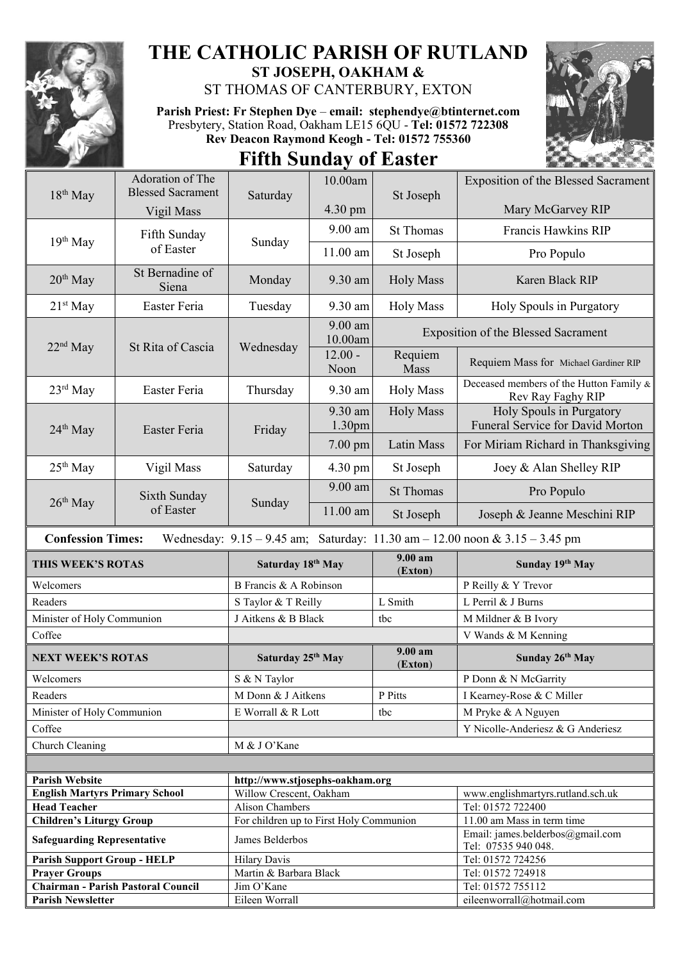

## **THE CATHOLIC PARISH OF RUTLAND ST JOSEPH, OAKHAM &**

ST THOMAS OF CANTERBURY, EXTON

**Parish Priest: Fr Stephen Dye** – **[email: stephendye@btinternet.com](mailto:email:%20%20stephendye@btinternet.com)** Presbytery, Station Road, Oakham LE15 6QU - **Tel: 01572 722308 Rev Deacon Raymond Keogh - Tel: 01572 755360 Fifth Sunday of Easter**



| $18th$ May                                                                                                      | Adoration of The                   |                                                                   | 10.00am              | St Joseph                                  | <b>Exposition of the Blessed Sacrament</b>                   |  |
|-----------------------------------------------------------------------------------------------------------------|------------------------------------|-------------------------------------------------------------------|----------------------|--------------------------------------------|--------------------------------------------------------------|--|
|                                                                                                                 | <b>Blessed Sacrament</b>           | Saturday                                                          |                      |                                            |                                                              |  |
|                                                                                                                 | Vigil Mass                         |                                                                   | 4.30 pm              |                                            | Mary McGarvey RIP                                            |  |
| 19th May                                                                                                        | Fifth Sunday<br>of Easter          | Sunday                                                            | 9.00 am              | <b>St Thomas</b>                           | Francis Hawkins RIP                                          |  |
|                                                                                                                 |                                    |                                                                   | $11.00$ am           | St Joseph                                  | Pro Populo                                                   |  |
| $20th$ May                                                                                                      | St Bernadine of<br>Siena           | Monday                                                            | 9.30 am              | <b>Holy Mass</b>                           | Karen Black RIP                                              |  |
| $21st$ May                                                                                                      | Easter Feria                       | Tuesday                                                           | 9.30 am              | <b>Holy Mass</b>                           | Holy Spouls in Purgatory                                     |  |
| $22nd$ May                                                                                                      | St Rita of Cascia                  | Wednesday                                                         | $9.00$ am<br>10.00am | <b>Exposition of the Blessed Sacrament</b> |                                                              |  |
|                                                                                                                 |                                    |                                                                   | $12.00 -$<br>Noon    | Requiem<br>Mass                            | Requiem Mass for Michael Gardiner RIP                        |  |
| $23^{\text{rd}}$ May                                                                                            | Easter Feria                       | Thursday                                                          | 9.30 am              | <b>Holy Mass</b>                           | Deceased members of the Hutton Family &<br>Rev Ray Faghy RIP |  |
| $24th$ May                                                                                                      | Easter Feria                       | Friday                                                            | 9.30 am<br>1.30pm    | <b>Holy Mass</b>                           | Holy Spouls in Purgatory<br>Funeral Service for David Morton |  |
|                                                                                                                 |                                    |                                                                   | $7.00 \text{ pm}$    | Latin Mass                                 | For Miriam Richard in Thanksgiving                           |  |
| 25 <sup>th</sup> May                                                                                            | Vigil Mass                         | Saturday                                                          | 4.30 pm              | St Joseph                                  | Joey & Alan Shelley RIP                                      |  |
| $26th$ May                                                                                                      | Sixth Sunday<br>of Easter          | Sunday                                                            | 9.00 am              | <b>St Thomas</b>                           | Pro Populo                                                   |  |
|                                                                                                                 |                                    |                                                                   | 11.00 am             | St Joseph                                  | Joseph & Jeanne Meschini RIP                                 |  |
| <b>Confession Times:</b><br>Wednesday: $9.15 - 9.45$ am; Saturday: $11.30$ am $- 12.00$ noon & $3.15 - 3.45$ pm |                                    |                                                                   |                      |                                            |                                                              |  |
| THIS WEEK'S ROTAS                                                                                               |                                    | Saturday 18th May                                                 |                      | 9.00 am<br>(Exton)                         | Sunday 19th May                                              |  |
| Welcomers                                                                                                       |                                    | B Francis & A Robinson                                            |                      |                                            | P Reilly & Y Trevor                                          |  |
| Readers                                                                                                         |                                    | S Taylor & T Reilly                                               |                      | L Smith                                    | L Perril & J Burns                                           |  |
| Minister of Holy Communion                                                                                      |                                    | J Aitkens & B Black                                               |                      | tbc                                        | M Mildner & B Ivory                                          |  |
| Coffee                                                                                                          |                                    |                                                                   |                      |                                            | V Wands & M Kenning                                          |  |
| <b>NEXT WEEK'S ROTAS</b>                                                                                        |                                    | Saturday 25th May                                                 |                      | 9.00 am<br>(Exton)                         | Sunday 26th May                                              |  |
| Welcomers                                                                                                       |                                    | S & N Taylor                                                      |                      |                                            | P Donn & N McGarrity                                         |  |
| Readers                                                                                                         |                                    | M Donn & J Aitkens                                                |                      | P Pitts                                    | I Kearney-Rose & C Miller                                    |  |
| Minister of Holy Communion                                                                                      |                                    | E Worrall & R Lott                                                |                      |                                            |                                                              |  |
| Coffee                                                                                                          |                                    |                                                                   |                      |                                            |                                                              |  |
|                                                                                                                 |                                    |                                                                   |                      | tbc                                        | M Pryke & A Nguyen                                           |  |
|                                                                                                                 |                                    |                                                                   |                      |                                            | Y Nicolle-Anderiesz & G Anderiesz                            |  |
| Church Cleaning                                                                                                 |                                    | M & J O'Kane                                                      |                      |                                            |                                                              |  |
|                                                                                                                 |                                    |                                                                   |                      |                                            |                                                              |  |
| <b>Parish Website</b>                                                                                           |                                    | http://www.stjosephs-oakham.org                                   |                      |                                            |                                                              |  |
| <b>English Martyrs Primary School</b>                                                                           |                                    | Willow Crescent, Oakham                                           |                      |                                            | www.englishmartyrs.rutland.sch.uk                            |  |
| <b>Head Teacher</b><br><b>Children's Liturgy Group</b>                                                          |                                    | <b>Alison Chambers</b><br>For children up to First Holy Communion |                      |                                            | Tel: 01572 722400<br>11.00 am Mass in term time              |  |
| <b>Safeguarding Representative</b>                                                                              |                                    | James Belderbos                                                   |                      |                                            | Email: james.belderbos@gmail.com                             |  |
|                                                                                                                 |                                    | <b>Hilary Davis</b>                                               |                      |                                            | Tel: 07535 940 048.<br>Tel: 01572 724256                     |  |
| <b>Parish Support Group - HELP</b><br><b>Prayer Groups</b>                                                      |                                    | Martin & Barbara Black                                            |                      |                                            | Tel: 01572 724918                                            |  |
|                                                                                                                 | Chairman - Parish Pastoral Council | Jim O'Kane                                                        |                      |                                            | Tel: 01572 755112                                            |  |